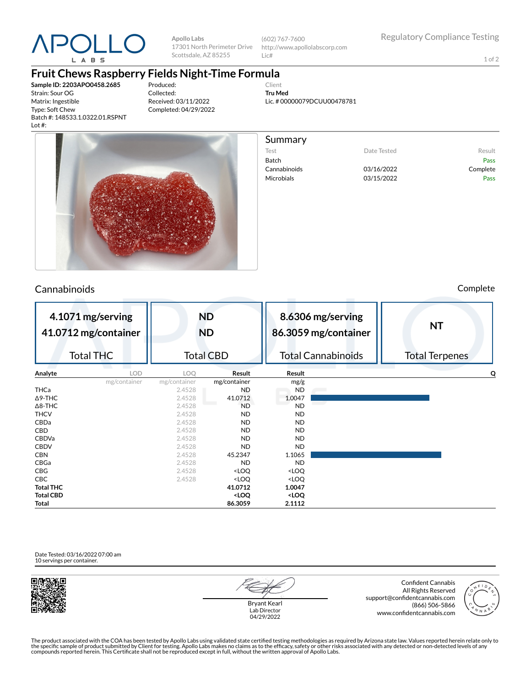

**Apollo Labs** 17301 North Perimeter Drive Scottsdale, AZ 85255

(602) 767-7600 http://www.apollolabscorp.com Lic#

Test **Date Tested** Result Batch Pass Cannabinoids 03/16/2022 Complete Microbials 03/15/2022 Pass

1 of 2

## **Fruit Chews Raspberry Fields Night-Time Formula**

**Sample ID: 2203APO0458.2685** Strain: Sour OG Matrix: Ingestible Type: Soft Chew Batch #: 148533.1.0322.01.RSPNT Lot #:

Produced: Collected: Received: 03/11/2022 Completed: 04/29/2022

Client **Tru Med** Lic. # 00000079DCUU00478781

Summary



## Cannabinoids Complete

| 4.1071 mg/serving<br>41.0712 mg/container |              | <b>ND</b><br><b>ND</b> |                                                                   | 8.6306 mg/serving<br>86.3059 mg/container |  | <b>NT</b>             |
|-------------------------------------------|--------------|------------------------|-------------------------------------------------------------------|-------------------------------------------|--|-----------------------|
| <b>Total THC</b>                          |              | <b>Total CBD</b>       |                                                                   | <b>Total Cannabinoids</b>                 |  | <b>Total Terpenes</b> |
| Analyte                                   | <b>LOD</b>   | LOO.                   | Result                                                            | Result                                    |  | Q                     |
|                                           | mg/container | mg/container           | mg/container                                                      | mg/g                                      |  |                       |
| THCa                                      |              | 2.4528                 | ND                                                                | <b>ND</b>                                 |  |                       |
| $\Delta$ 9-THC                            |              | 2.4528                 | 41.0712                                                           | 1.0047                                    |  |                       |
| $\Delta$ 8-THC                            |              | 2.4528                 | <b>ND</b>                                                         | <b>ND</b>                                 |  |                       |
| <b>THCV</b>                               |              | 2.4528                 | ND                                                                | <b>ND</b>                                 |  |                       |
| CBDa                                      |              | 2.4528                 | ND                                                                | <b>ND</b>                                 |  |                       |
| <b>CBD</b>                                |              | 2.4528                 | ND                                                                | <b>ND</b>                                 |  |                       |
| <b>CBDVa</b>                              |              | 2.4528                 | <b>ND</b>                                                         | <b>ND</b>                                 |  |                       |
| <b>CBDV</b>                               |              | 2.4528                 | <b>ND</b>                                                         | <b>ND</b>                                 |  |                       |
| <b>CBN</b>                                |              | 2.4528                 | 45.2347                                                           | 1.1065                                    |  |                       |
| CBGa                                      |              | 2.4528                 | <b>ND</b>                                                         | <b>ND</b>                                 |  |                       |
| CBG                                       |              | 2.4528                 | <loq< td=""><td><loq< td=""><td></td><td></td></loq<></td></loq<> | <loq< td=""><td></td><td></td></loq<>     |  |                       |
| CBC                                       |              | 2.4528                 | <loq< td=""><td><loq< td=""><td></td><td></td></loq<></td></loq<> | <loq< td=""><td></td><td></td></loq<>     |  |                       |
| <b>Total THC</b>                          |              |                        | 41.0712                                                           | 1.0047                                    |  |                       |
| <b>Total CBD</b>                          |              |                        | <loq< td=""><td><loq< td=""><td></td><td></td></loq<></td></loq<> | <loq< td=""><td></td><td></td></loq<>     |  |                       |
| Total                                     |              |                        | 86.3059                                                           | 2.1112                                    |  |                       |

Date Tested: 03/16/2022 07:00 am 10 servings per container.



Bryant Kearl Lab Director 04/29/2022

Confident Cannabis All Rights Reserved support@confidentcannabis.com (866) 506-5866 www.confidentcannabis.com



The product associated with the COA has been tested by Apollo Labs using validated state certified testing methodologies as required by Arizona state law. Values reported herein relate only to<br>the specific sample of produc